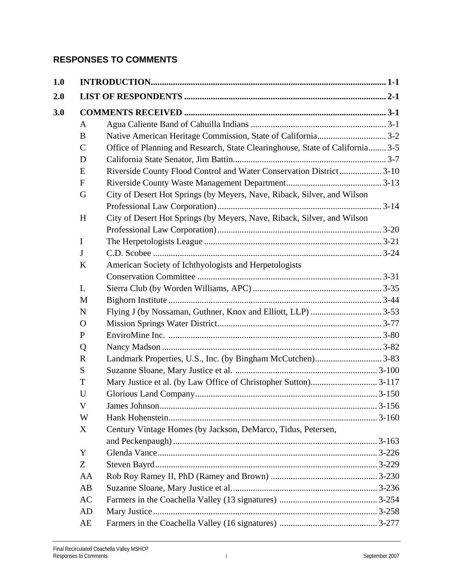## **RESPONSES TO COMMENTS**

| 1.0 |              |                                                                               |         |
|-----|--------------|-------------------------------------------------------------------------------|---------|
| 2.0 |              |                                                                               |         |
| 3.0 |              |                                                                               |         |
|     | A            |                                                                               |         |
|     | B            |                                                                               |         |
|     | $\mathsf{C}$ | Office of Planning and Research, State Clearinghouse, State of California 3-5 |         |
|     | D            |                                                                               |         |
|     | E            | Riverside County Flood Control and Water Conservation District 3-10           |         |
|     | $\mathbf F$  |                                                                               |         |
|     | G            | City of Desert Hot Springs (by Meyers, Nave, Riback, Silver, and Wilson       |         |
|     |              |                                                                               |         |
|     | H            | City of Desert Hot Springs (by Meyers, Nave, Riback, Silver, and Wilson       |         |
|     |              |                                                                               |         |
|     | I            |                                                                               |         |
|     | $\mathbf{J}$ |                                                                               |         |
|     | $\bf K$      | American Society of Ichthyologists and Herpetologists                         |         |
|     |              |                                                                               |         |
|     | L            |                                                                               |         |
|     | M            |                                                                               |         |
|     | N            |                                                                               |         |
|     | $\mathbf{O}$ |                                                                               |         |
|     | P            |                                                                               |         |
|     | Q            |                                                                               |         |
|     | $\mathbf R$  |                                                                               |         |
|     | S            |                                                                               |         |
|     | T            |                                                                               |         |
|     | U            |                                                                               |         |
|     | V            |                                                                               | . 3-156 |
|     | W            |                                                                               |         |
|     | X            | Century Vintage Homes (by Jackson, DeMarco, Tidus, Petersen,                  |         |
|     |              |                                                                               |         |
|     | Y            |                                                                               |         |
|     | Z            |                                                                               |         |
|     | AA           |                                                                               |         |
|     | AB           |                                                                               |         |
|     | AC           |                                                                               |         |
|     | AD           |                                                                               |         |
|     | AE           |                                                                               |         |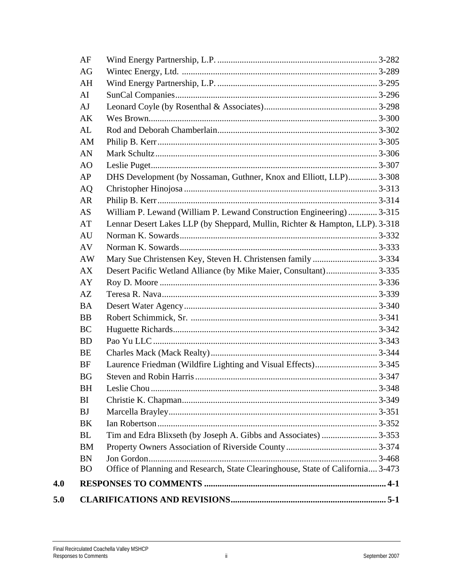| AF             |                                                                                 |  |  |  |  |
|----------------|---------------------------------------------------------------------------------|--|--|--|--|
| AG             |                                                                                 |  |  |  |  |
| AH             |                                                                                 |  |  |  |  |
| AI             |                                                                                 |  |  |  |  |
| AJ             |                                                                                 |  |  |  |  |
| AK             |                                                                                 |  |  |  |  |
| AL             |                                                                                 |  |  |  |  |
| AM             |                                                                                 |  |  |  |  |
| AN             |                                                                                 |  |  |  |  |
| A <sub>O</sub> |                                                                                 |  |  |  |  |
| AP             | DHS Development (by Nossaman, Guthner, Knox and Elliott, LLP) 3-308             |  |  |  |  |
| <b>AQ</b>      |                                                                                 |  |  |  |  |
| <b>AR</b>      |                                                                                 |  |  |  |  |
| <b>AS</b>      | William P. Lewand (William P. Lewand Construction Engineering)  3-315           |  |  |  |  |
| AT             | Lennar Desert Lakes LLP (by Sheppard, Mullin, Richter & Hampton, LLP). 3-318    |  |  |  |  |
| AU             |                                                                                 |  |  |  |  |
| AV             |                                                                                 |  |  |  |  |
| AW             | Mary Sue Christensen Key, Steven H. Christensen family  3-334                   |  |  |  |  |
| AX             | Desert Pacific Wetland Alliance (by Mike Maier, Consultant) 3-335               |  |  |  |  |
| AY             |                                                                                 |  |  |  |  |
| AZ             |                                                                                 |  |  |  |  |
| <b>BA</b>      |                                                                                 |  |  |  |  |
| <b>BB</b>      |                                                                                 |  |  |  |  |
| <b>BC</b>      |                                                                                 |  |  |  |  |
| <b>BD</b>      |                                                                                 |  |  |  |  |
| BE             |                                                                                 |  |  |  |  |
| <b>BF</b>      |                                                                                 |  |  |  |  |
| <b>BG</b>      |                                                                                 |  |  |  |  |
| BH             |                                                                                 |  |  |  |  |
| BI             |                                                                                 |  |  |  |  |
| <b>BJ</b>      |                                                                                 |  |  |  |  |
| BK             |                                                                                 |  |  |  |  |
| BL             |                                                                                 |  |  |  |  |
| <b>BM</b>      |                                                                                 |  |  |  |  |
| <b>BN</b>      |                                                                                 |  |  |  |  |
| <sub>BO</sub>  | Office of Planning and Research, State Clearinghouse, State of California 3-473 |  |  |  |  |
|                |                                                                                 |  |  |  |  |
|                |                                                                                 |  |  |  |  |

 $4.0$ 

 $5.0$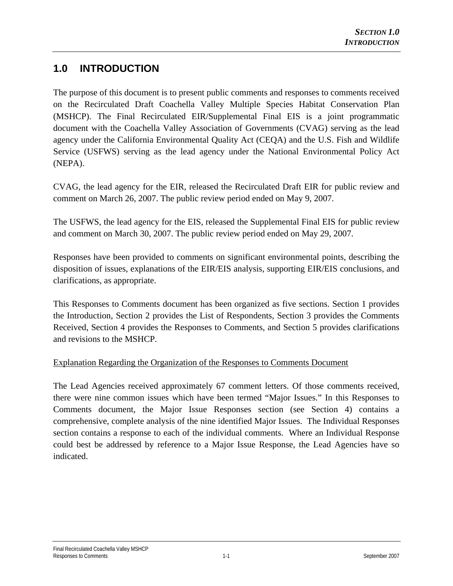## **1.0 INTRODUCTION**

The purpose of this document is to present public comments and responses to comments received on the Recirculated Draft Coachella Valley Multiple Species Habitat Conservation Plan (MSHCP). The Final Recirculated EIR/Supplemental Final EIS is a joint programmatic document with the Coachella Valley Association of Governments (CVAG) serving as the lead agency under the California Environmental Quality Act (CEQA) and the U.S. Fish and Wildlife Service (USFWS) serving as the lead agency under the National Environmental Policy Act (NEPA).

CVAG, the lead agency for the EIR, released the Recirculated Draft EIR for public review and comment on March 26, 2007. The public review period ended on May 9, 2007.

The USFWS, the lead agency for the EIS, released the Supplemental Final EIS for public review and comment on March 30, 2007. The public review period ended on May 29, 2007.

Responses have been provided to comments on significant environmental points, describing the disposition of issues, explanations of the EIR/EIS analysis, supporting EIR/EIS conclusions, and clarifications, as appropriate.

This Responses to Comments document has been organized as five sections. Section 1 provides the Introduction, Section 2 provides the List of Respondents, Section 3 provides the Comments Received, Section 4 provides the Responses to Comments, and Section 5 provides clarifications and revisions to the MSHCP.

## Explanation Regarding the Organization of the Responses to Comments Document

The Lead Agencies received approximately 67 comment letters. Of those comments received, there were nine common issues which have been termed "Major Issues." In this Responses to Comments document, the Major Issue Responses section (see Section 4) contains a comprehensive, complete analysis of the nine identified Major Issues. The Individual Responses section contains a response to each of the individual comments. Where an Individual Response could best be addressed by reference to a Major Issue Response, the Lead Agencies have so indicated.